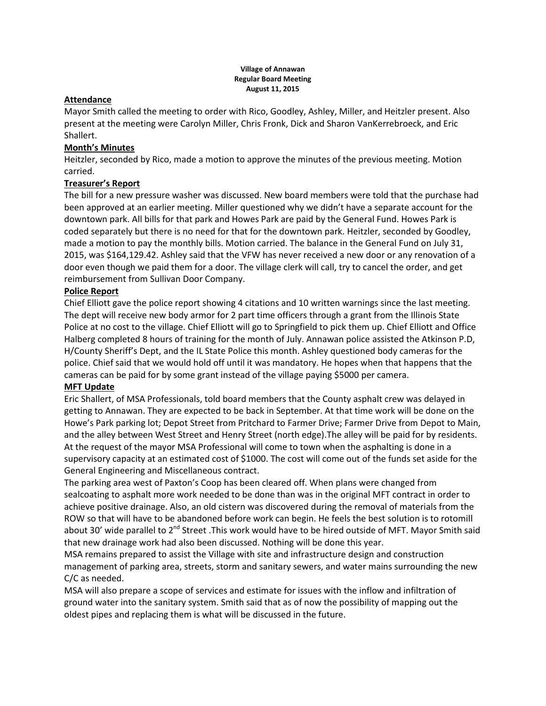#### **Village of Annawan Regular Board Meeting August 11, 2015**

### **Attendance**

Mayor Smith called the meeting to order with Rico, Goodley, Ashley, Miller, and Heitzler present. Also present at the meeting were Carolyn Miller, Chris Fronk, Dick and Sharon VanKerrebroeck, and Eric Shallert.

## **Month's Minutes**

Heitzler, seconded by Rico, made a motion to approve the minutes of the previous meeting. Motion carried.

# **Treasurer's Report**

The bill for a new pressure washer was discussed. New board members were told that the purchase had been approved at an earlier meeting. Miller questioned why we didn't have a separate account for the downtown park. All bills for that park and Howes Park are paid by the General Fund. Howes Park is coded separately but there is no need for that for the downtown park. Heitzler, seconded by Goodley, made a motion to pay the monthly bills. Motion carried. The balance in the General Fund on July 31, 2015, was \$164,129.42. Ashley said that the VFW has never received a new door or any renovation of a door even though we paid them for a door. The village clerk will call, try to cancel the order, and get reimbursement from Sullivan Door Company.

## **Police Report**

Chief Elliott gave the police report showing 4 citations and 10 written warnings since the last meeting. The dept will receive new body armor for 2 part time officers through a grant from the Illinois State Police at no cost to the village. Chief Elliott will go to Springfield to pick them up. Chief Elliott and Office Halberg completed 8 hours of training for the month of July. Annawan police assisted the Atkinson P.D, H/County Sheriff's Dept, and the IL State Police this month. Ashley questioned body cameras for the police. Chief said that we would hold off until it was mandatory. He hopes when that happens that the cameras can be paid for by some grant instead of the village paying \$5000 per camera.

## **MFT Update**

Eric Shallert, of MSA Professionals, told board members that the County asphalt crew was delayed in getting to Annawan. They are expected to be back in September. At that time work will be done on the Howe's Park parking lot; Depot Street from Pritchard to Farmer Drive; Farmer Drive from Depot to Main, and the alley between West Street and Henry Street (north edge).The alley will be paid for by residents. At the request of the mayor MSA Professional will come to town when the asphalting is done in a supervisory capacity at an estimated cost of \$1000. The cost will come out of the funds set aside for the General Engineering and Miscellaneous contract.

The parking area west of Paxton's Coop has been cleared off. When plans were changed from sealcoating to asphalt more work needed to be done than was in the original MFT contract in order to achieve positive drainage. Also, an old cistern was discovered during the removal of materials from the ROW so that will have to be abandoned before work can begin. He feels the best solution is to rotomill about 30' wide parallel to 2<sup>nd</sup> Street .This work would have to be hired outside of MFT. Mayor Smith said that new drainage work had also been discussed. Nothing will be done this year.

MSA remains prepared to assist the Village with site and infrastructure design and construction management of parking area, streets, storm and sanitary sewers, and water mains surrounding the new C/C as needed.

MSA will also prepare a scope of services and estimate for issues with the inflow and infiltration of ground water into the sanitary system. Smith said that as of now the possibility of mapping out the oldest pipes and replacing them is what will be discussed in the future.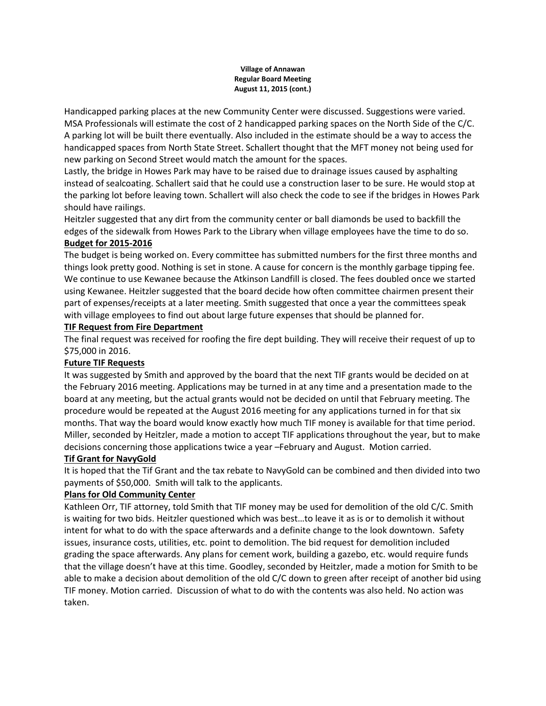#### **Village of Annawan Regular Board Meeting August 11, 2015 (cont.)**

Handicapped parking places at the new Community Center were discussed. Suggestions were varied. MSA Professionals will estimate the cost of 2 handicapped parking spaces on the North Side of the C/C. A parking lot will be built there eventually. Also included in the estimate should be a way to access the handicapped spaces from North State Street. Schallert thought that the MFT money not being used for new parking on Second Street would match the amount for the spaces.

Lastly, the bridge in Howes Park may have to be raised due to drainage issues caused by asphalting instead of sealcoating. Schallert said that he could use a construction laser to be sure. He would stop at the parking lot before leaving town. Schallert will also check the code to see if the bridges in Howes Park should have railings.

Heitzler suggested that any dirt from the community center or ball diamonds be used to backfill the edges of the sidewalk from Howes Park to the Library when village employees have the time to do so.

## **Budget for 2015-2016**

The budget is being worked on. Every committee has submitted numbers for the first three months and things look pretty good. Nothing is set in stone. A cause for concern is the monthly garbage tipping fee. We continue to use Kewanee because the Atkinson Landfill is closed. The fees doubled once we started using Kewanee. Heitzler suggested that the board decide how often committee chairmen present their part of expenses/receipts at a later meeting. Smith suggested that once a year the committees speak with village employees to find out about large future expenses that should be planned for.

## **TIF Request from Fire Department**

The final request was received for roofing the fire dept building. They will receive their request of up to \$75,000 in 2016.

## **Future TIF Requests**

It was suggested by Smith and approved by the board that the next TIF grants would be decided on at the February 2016 meeting. Applications may be turned in at any time and a presentation made to the board at any meeting, but the actual grants would not be decided on until that February meeting. The procedure would be repeated at the August 2016 meeting for any applications turned in for that six months. That way the board would know exactly how much TIF money is available for that time period. Miller, seconded by Heitzler, made a motion to accept TIF applications throughout the year, but to make decisions concerning those applications twice a year –February and August. Motion carried.

## **Tif Grant for NavyGold**

It is hoped that the Tif Grant and the tax rebate to NavyGold can be combined and then divided into two payments of \$50,000. Smith will talk to the applicants.

## **Plans for Old Community Center**

Kathleen Orr, TIF attorney, told Smith that TIF money may be used for demolition of the old C/C. Smith is waiting for two bids. Heitzler questioned which was best…to leave it as is or to demolish it without intent for what to do with the space afterwards and a definite change to the look downtown. Safety issues, insurance costs, utilities, etc. point to demolition. The bid request for demolition included grading the space afterwards. Any plans for cement work, building a gazebo, etc. would require funds that the village doesn't have at this time. Goodley, seconded by Heitzler, made a motion for Smith to be able to make a decision about demolition of the old C/C down to green after receipt of another bid using TIF money. Motion carried. Discussion of what to do with the contents was also held. No action was taken.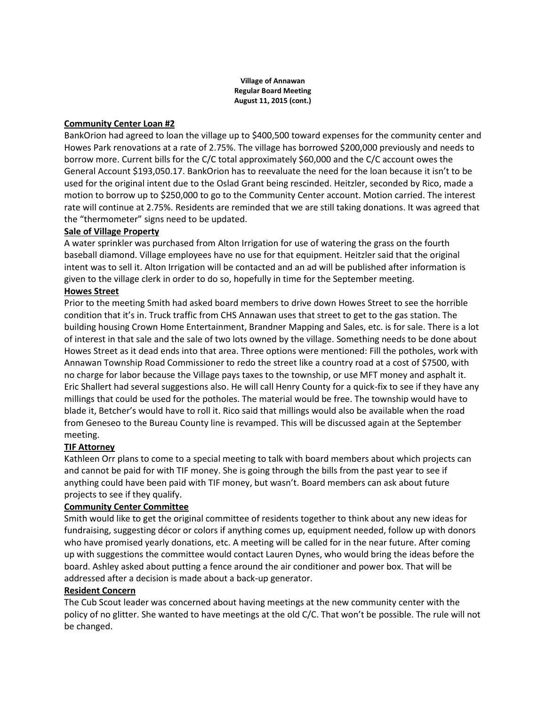#### **Village of Annawan Regular Board Meeting August 11, 2015 (cont.)**

## **Community Center Loan #2**

BankOrion had agreed to loan the village up to \$400,500 toward expenses for the community center and Howes Park renovations at a rate of 2.75%. The village has borrowed \$200,000 previously and needs to borrow more. Current bills for the C/C total approximately \$60,000 and the C/C account owes the General Account \$193,050.17. BankOrion has to reevaluate the need for the loan because it isn't to be used for the original intent due to the Oslad Grant being rescinded. Heitzler, seconded by Rico, made a motion to borrow up to \$250,000 to go to the Community Center account. Motion carried. The interest rate will continue at 2.75%. Residents are reminded that we are still taking donations. It was agreed that the "thermometer" signs need to be updated.

## **Sale of Village Property**

A water sprinkler was purchased from Alton Irrigation for use of watering the grass on the fourth baseball diamond. Village employees have no use for that equipment. Heitzler said that the original intent was to sell it. Alton Irrigation will be contacted and an ad will be published after information is given to the village clerk in order to do so, hopefully in time for the September meeting.

## **Howes Street**

Prior to the meeting Smith had asked board members to drive down Howes Street to see the horrible condition that it's in. Truck traffic from CHS Annawan uses that street to get to the gas station. The building housing Crown Home Entertainment, Brandner Mapping and Sales, etc. is for sale. There is a lot of interest in that sale and the sale of two lots owned by the village. Something needs to be done about Howes Street as it dead ends into that area. Three options were mentioned: Fill the potholes, work with Annawan Township Road Commissioner to redo the street like a country road at a cost of \$7500, with no charge for labor because the Village pays taxes to the township, or use MFT money and asphalt it. Eric Shallert had several suggestions also. He will call Henry County for a quick-fix to see if they have any millings that could be used for the potholes. The material would be free. The township would have to blade it, Betcher's would have to roll it. Rico said that millings would also be available when the road from Geneseo to the Bureau County line is revamped. This will be discussed again at the September meeting.

# **TIF Attorney**

Kathleen Orr plans to come to a special meeting to talk with board members about which projects can and cannot be paid for with TIF money. She is going through the bills from the past year to see if anything could have been paid with TIF money, but wasn't. Board members can ask about future projects to see if they qualify.

## **Community Center Committee**

Smith would like to get the original committee of residents together to think about any new ideas for fundraising, suggesting décor or colors if anything comes up, equipment needed, follow up with donors who have promised yearly donations, etc. A meeting will be called for in the near future. After coming up with suggestions the committee would contact Lauren Dynes, who would bring the ideas before the board. Ashley asked about putting a fence around the air conditioner and power box. That will be addressed after a decision is made about a back-up generator.

## **Resident Concern**

The Cub Scout leader was concerned about having meetings at the new community center with the policy of no glitter. She wanted to have meetings at the old C/C. That won't be possible. The rule will not be changed.